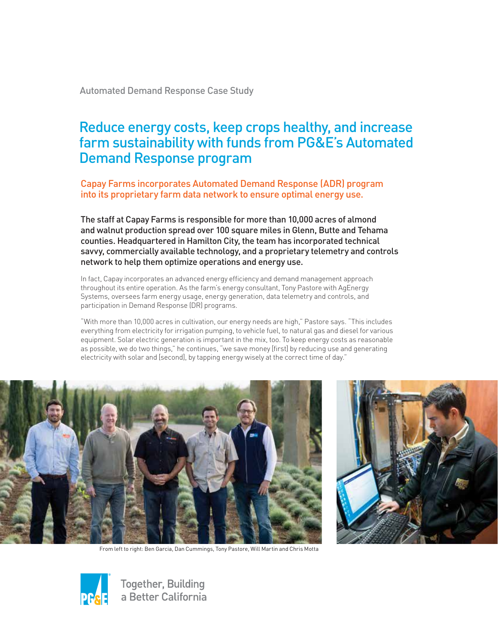Automated Demand Response Case Study

# Reduce energy costs, keep crops healthy, and increase farm sustainability with funds from PG&E's Automated Demand Response program

Capay Farms incorporates Automated Demand Response (ADR) program into its proprietary farm data network to ensure optimal energy use.

The staff at Capay Farms is responsible for more than 10,000 acres of almond and walnut production spread over 100 square miles in Glenn, Butte and Tehama counties. Headquartered in Hamilton City, the team has incorporated technical savvy, commercially available technology, and a proprietary telemetry and controls network to help them optimize operations and energy use.

In fact, Capay incorporates an advanced energy efficiency and demand management approach throughout its entire operation. As the farm's energy consultant, Tony Pastore with AgEnergy Systems, oversees farm energy usage, energy generation, data telemetry and controls, and participation in Demand Response (DR) programs.

"With more than 10,000 acres in cultivation, our energy needs are high," Pastore says. "This includes everything from electricity for irrigation pumping, to vehicle fuel, to natural gas and diesel for various equipment. Solar electric generation is important in the mix, too. To keep energy costs as reasonable as possible, we do two things," he continues, "we save money [first] by reducing use and generating electricity with solar and [second], by tapping energy wisely at the correct time of day."



From left to right: Ben Garcia, Dan Cummings, Tony Pastore, Will Martin and Chris Motta



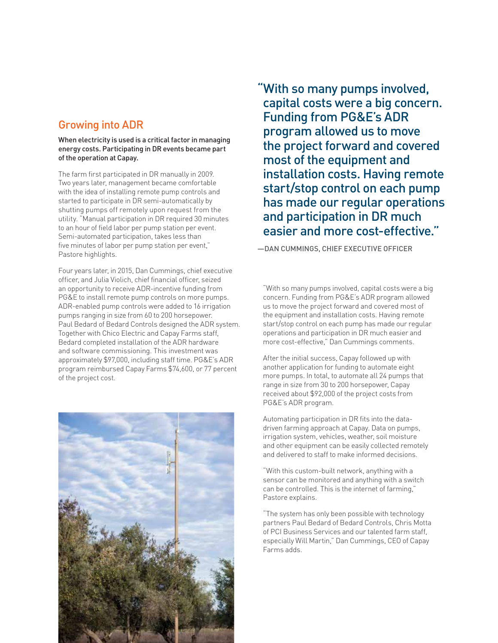## Growing into ADR

#### When electricity is used is a critical factor in managing energy costs. Participating in DR events became part of the operation at Capay.

The farm first participated in DR manually in 2009. Two years later, management became comfortable with the idea of installing remote pump controls and started to participate in DR semi-automatically by shutting pumps off remotely upon request from the utility. "Manual participation in DR required 30 minutes to an hour of field labor per pump station per event. Semi-automated participation, takes less than five minutes of labor per pump station per event," Pastore highlights.

Four years later, in 2015, Dan Cummings, chief executive officer, and Julia Violich, chief financial officer, seized an opportunity to receive ADR-incentive funding from PG&E to install remote pump controls on more pumps. ADR-enabled pump controls were added to 16 irrigation pumps ranging in size from 60 to 200 horsepower. Paul Bedard of Bedard Controls designed the ADR system. Together with Chico Electric and Capay Farms staff, Bedard completed installation of the ADR hardware and software commissioning. This investment was approximately \$97,000, including staff time. PG&E's ADR program reimbursed Capay Farms \$74,600, or 77 percent of the project cost.



"With so many pumps involved, capital costs were a big concern. Funding from PG&E's ADR program allowed us to move the project forward and covered most of the equipment and installation costs. Having remote start/stop control on each pump has made our regular operations and participation in DR much easier and more cost-effective."

—DAN CUMMINGS, CHIEF EXECUTIVE OFFICER

"With so many pumps involved, capital costs were a big concern. Funding from PG&E's ADR program allowed us to move the project forward and covered most of the equipment and installation costs. Having remote start/stop control on each pump has made our regular operations and participation in DR much easier and more cost-effective," Dan Cummings comments.

After the initial success, Capay followed up with another application for funding to automate eight more pumps. In total, to automate all 24 pumps that range in size from 30 to 200 horsepower, Capay received about \$92,000 of the project costs from PG&E's ADR program.

Automating participation in DR fits into the datadriven farming approach at Capay. Data on pumps, irrigation system, vehicles, weather, soil moisture and other equipment can be easily collected remotely and delivered to staff to make informed decisions.

"With this custom-built network, anything with a sensor can be monitored and anything with a switch can be controlled. This is the internet of farming," Pastore explains.

"The system has only been possible with technology partners Paul Bedard of Bedard Controls, Chris Motta of PCI Business Services and our talented farm staff, especially Will Martin," Dan Cummings, CEO of Capay Farms adds.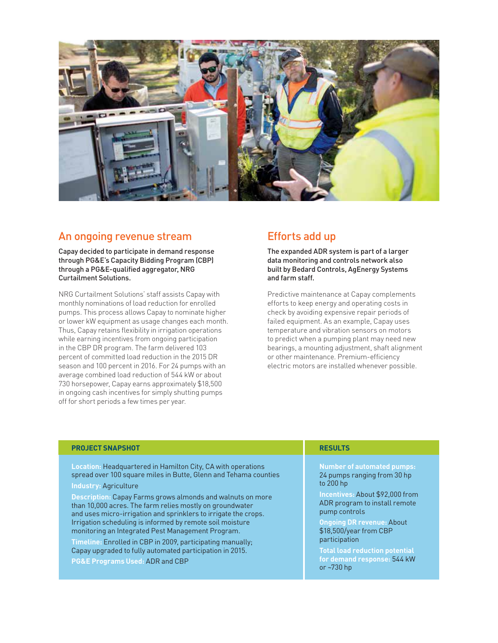

### An ongoing revenue stream

Capay decided to participate in demand response through PG&E's Capacity Bidding Program (CBP) through a PG&E-qualified aggregator, NRG Curtailment Solutions.

NRG Curtailment Solutions' staff assists Capay with monthly nominations of load reduction for enrolled pumps. This process allows Capay to nominate higher or lower kW equipment as usage changes each month. Thus, Capay retains flexibility in irrigation operations while earning incentives from ongoing participation in the CBP DR program. The farm delivered 103 percent of committed load reduction in the 2015 DR season and 100 percent in 2016. For 24 pumps with an average combined load reduction of 544 kW or about 730 horsepower, Capay earns approximately \$18,500 in ongoing cash incentives for simply shutting pumps off for short periods a few times per year.

# Efforts add up

The expanded ADR system is part of a larger data monitoring and controls network also built by Bedard Controls, AgEnergy Systems and farm staff.

Predictive maintenance at Capay complements efforts to keep energy and operating costs in check by avoiding expensive repair periods of failed equipment. As an example, Capay uses temperature and vibration sensors on motors to predict when a pumping plant may need new bearings, a mounting adjustment, shaft alignment or other maintenance. Premium-efficiency electric motors are installed whenever possible.

#### **PROJECT SNAPSHOT**

**Location:** Headquartered in Hamilton City, CA with operations spread over 100 square miles in Butte, Glenn and Tehama counties

#### **Industry:** Agriculture

**Description:** Capay Farms grows almonds and walnuts on more than 10,000 acres. The farm relies mostly on groundwater and uses micro-irrigation and sprinklers to irrigate the crops. Irrigation scheduling is informed by remote soil moisture monitoring an Integrated Pest Management Program.

**Timeline:** Enrolled in CBP in 2009, participating manually; Capay upgraded to fully automated participation in 2015.

**PG&E Programs Used:** ADR and CBP

#### **RESULTS**

**Number of automated pumps:** 24 pumps ranging from 30 hp to 200 hp

**Incentives:** About \$92,000 from ADR program to install remote pump controls

**Ongoing DR revenue:** About \$18,500/year from CBP participation

**Total load reduction potential for demand response:** 544 kW or ~730 hp